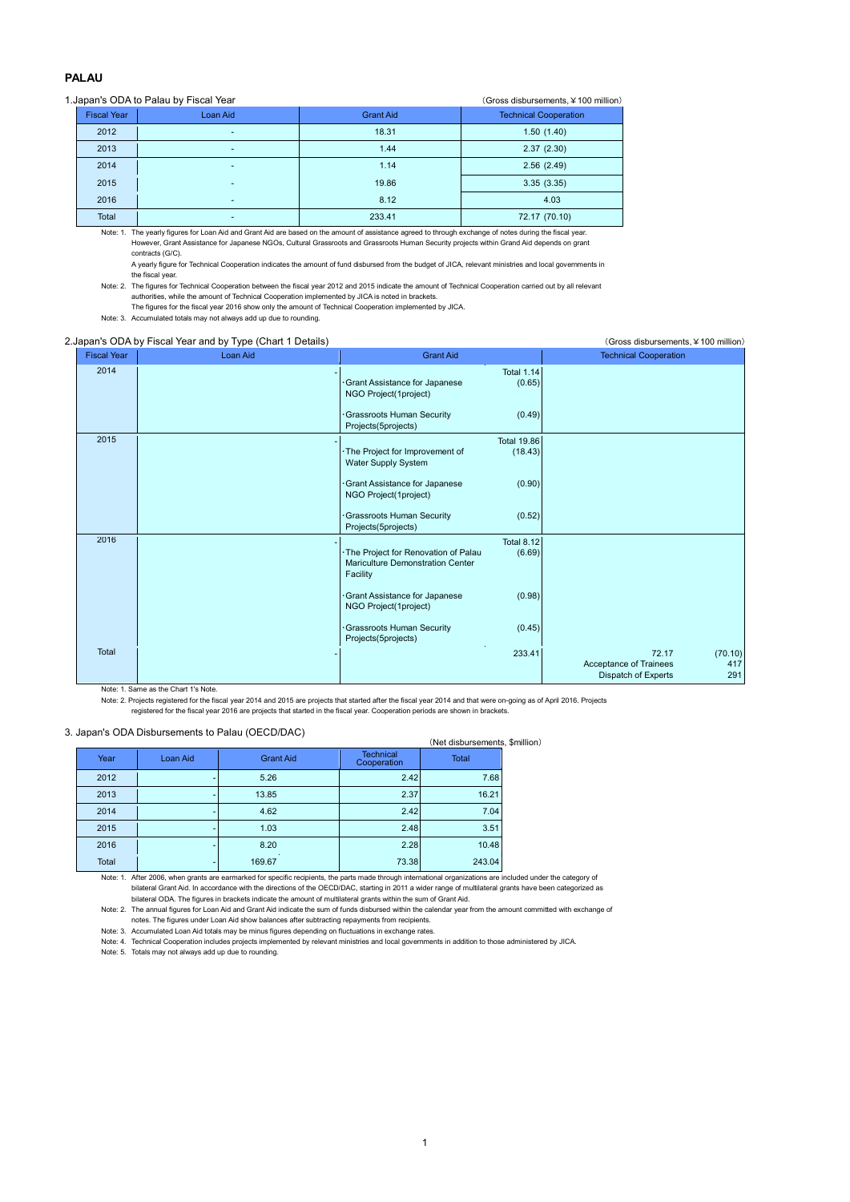## **PALAU**

## 1.Japan's ODA to Palau by Fiscal Year (Gross disbursements, ¥100 million)

|                    |                          |                  | $\sqrt{21033}$ also also also alternatives. $\pm 100$ Trimition |
|--------------------|--------------------------|------------------|-----------------------------------------------------------------|
| <b>Fiscal Year</b> | Loan Aid                 | <b>Grant Aid</b> | <b>Technical Cooperation</b>                                    |
| 2012               |                          | 18.31            | 1.50(1.40)                                                      |
| 2013               |                          | 1.44             | 2.37(2.30)                                                      |
| 2014               | $\overline{\phantom{a}}$ | 1.14             | 2.56(2.49)                                                      |
| 2015               |                          | 19.86            | 3.35(3.35)                                                      |
| 2016               |                          | 8.12             | 4.03                                                            |
| Total              | -                        | 233.41           | 72.17 (70.10)                                                   |

Note: 1. The yearly figures for Loan Aid and Grant Aid are based on the amount of assistance agreed to through exchange of notes during the fiscal year. However, Grant Assistance for Japanese NGOs, Cultural Grassroots and Grassroots Human Security projects within Grand Aid depends on grant contracts (G/C).

A yearly figure for Technical Cooperation indicates the amount of fund disbursed from the budget of JICA, relevant ministries and local governments in the fiscal year.

Note: 2. The figures for Technical Cooperation between the fiscal year 2012 and 2015 indicate the amount of Technical Cooperation carried out by all relevant authorities, while the amount of Technical Cooperation implemented by JICA is noted in brackets.

The figures for the fiscal year 2016 show only the amount of Technical Cooperation implemented by JICA. Note: 3. Accumulated totals may not always add up due to rounding.

## 2.Japan's ODA by Fiscal Year and by Type (Chart 1 Details) (Gross disbursements,¥100 million)

| <b>Fiscal Year</b> | Loan Aid | <b>Grant Aid</b>                                                                         | <b>Technical Cooperation</b>                                                    |
|--------------------|----------|------------------------------------------------------------------------------------------|---------------------------------------------------------------------------------|
| 2014               |          | <b>Total 1.14</b><br>· Grant Assistance for Japanese<br>(0.65)<br>NGO Project(1project)  |                                                                                 |
|                    |          | Grassroots Human Security<br>(0.49)<br>Projects(5projects)                               |                                                                                 |
| 2015               |          | <b>Total 19.86</b><br>· The Project for Improvement of<br>(18.43)<br>Water Supply System |                                                                                 |
|                    |          | Grant Assistance for Japanese<br>(0.90)<br>NGO Project(1project)                         |                                                                                 |
|                    |          | Grassroots Human Security<br>(0.52)<br>Projects(5projects)                               |                                                                                 |
| 2016               |          | <b>Total 8.12</b><br>· The Project for Renovation of Palau<br>(6.69)                     |                                                                                 |
|                    |          | Mariculture Demonstration Center<br>Facility                                             |                                                                                 |
|                    |          | (0.98)<br>Grant Assistance for Japanese<br>NGO Project(1project)                         |                                                                                 |
|                    |          | Grassroots Human Security<br>(0.45)<br>Projects(5projects)                               |                                                                                 |
| Total              |          | 233.41                                                                                   | 72.17<br>(70.10)<br>Acceptance of Trainees<br>417<br>Dispatch of Experts<br>291 |

Note: 1. Same as the Chart 1's Note.

Note: 2. Projects registered for the fiscal year 2014 and 2015 are projects that started after the fiscal year 2014 and that were on-going as of April 2016. Projects registered for the fiscal year 2016 are projects that started in the fiscal year. Cooperation periods are shown in brackets.

## 3. Japan's ODA Disbursements to Palau (OECD/DAC)

|       |          |                  |                                               | (Net disbursements, \$million) |                       |
|-------|----------|------------------|-----------------------------------------------|--------------------------------|-----------------------|
| Year  | Loan Aid | <b>Grant Aid</b> | <b>Technical</b><br>Cooperation               | <b>Total</b>                   |                       |
| 2012  |          | 5.26             |                                               | 7.68                           |                       |
| 2013  |          | 13.85            | 2.37                                          | 16.21                          |                       |
| 2014  |          | 4.62             | 2.42                                          | 7.04                           |                       |
| 2015  |          | 1.03             |                                               | 3.51                           |                       |
| 2016  |          | 8.20             | 2.28                                          | 10.48                          |                       |
| Total |          | 169.67           |                                               | 243.04                         |                       |
|       |          |                  | Japan's ODA Dispuisements to Falau (OLODIDAO) |                                | 2.42<br>2.48<br>73.38 |

Note: 1. After 2006, when grants are earmarked for specific recipients, the parts made through international organizations are included under the category of bilateral Grant Aid. In accordance with the directions of the OECD/DAC, starting in 2011 a wider range of multilateral grants have been categorized as bilateral ODA. The figures in brackets indicate the amount of multilateral grants within the sum of Grant Aid.

Note: 2. The annual figures for Loan Aid and Grant Aid indicate the sum of funds disbursed within the calendar year from the amount committed with exchange of

notes. The figures under Loan Aid show balances after subtracting repayments from recipients. Note: 3. Accumulated Loan Aid totals may be minus figures depending on fluctuations in exchange rates.

Note: 4. Technical Cooperation includes projects implemented by relevant ministries and local governments in addition to those administered by JICA.

Note: 5. Totals may not always add up due to rounding.